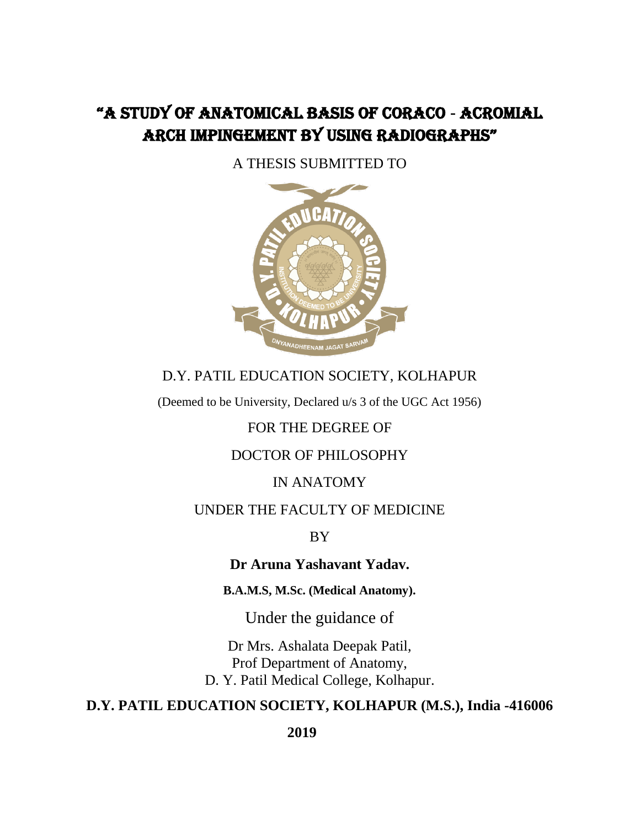# "A STUDY OF ANATOMICAL BASIS OF CORACO **-** ACROMIAL ARCH IMPINGEMENT BY USING RADIOGRAPHS"

A THESIS SUBMITTED TO



### D.Y. PATIL EDUCATION SOCIETY, KOLHAPUR

(Deemed to be University, Declared u/s 3 of the UGC Act 1956)

#### FOR THE DEGREE OF

#### DOCTOR OF PHILOSOPHY

#### IN ANATOMY

#### UNDER THE FACULTY OF MEDICINE

BY

#### **Dr Aruna Yashavant Yadav.**

**B.A.M.S, M.Sc. (Medical Anatomy).**

Under the guidance of

Dr Mrs. Ashalata Deepak Patil, Prof Department of Anatomy, D. Y. Patil Medical College, Kolhapur.

### **D.Y. PATIL EDUCATION SOCIETY, KOLHAPUR (M.S.), India -416006**

 **2019**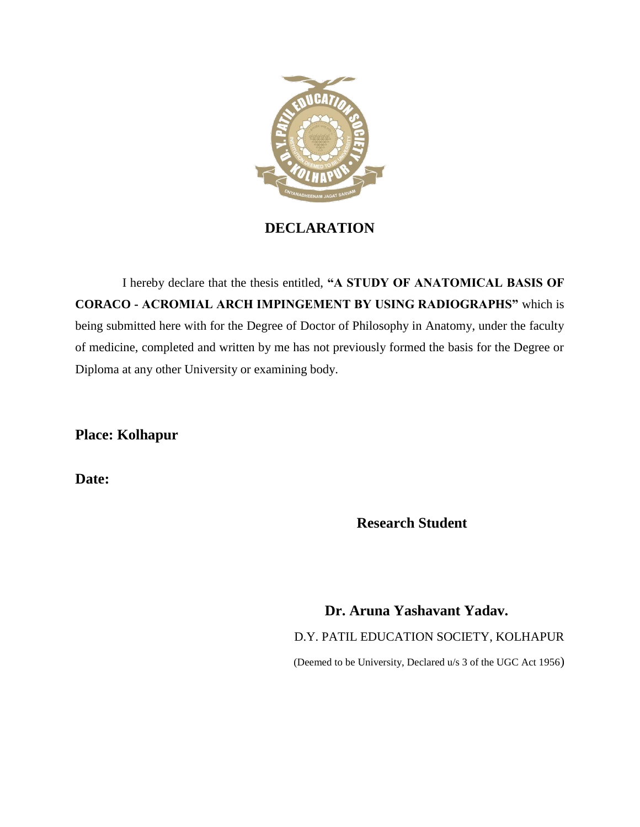

**DECLARATION**

 I hereby declare that the thesis entitled, **"A STUDY OF ANATOMICAL BASIS OF CORACO - ACROMIAL ARCH IMPINGEMENT BY USING RADIOGRAPHS"** which is being submitted here with for the Degree of Doctor of Philosophy in Anatomy, under the faculty of medicine, completed and written by me has not previously formed the basis for the Degree or Diploma at any other University or examining body.

**Place: Kolhapur**

**Date:** 

 **Research Student**

 **Dr. Aruna Yashavant Yadav.** D.Y. PATIL EDUCATION SOCIETY, KOLHAPUR (Deemed to be University, Declared u/s 3 of the UGC Act 1956)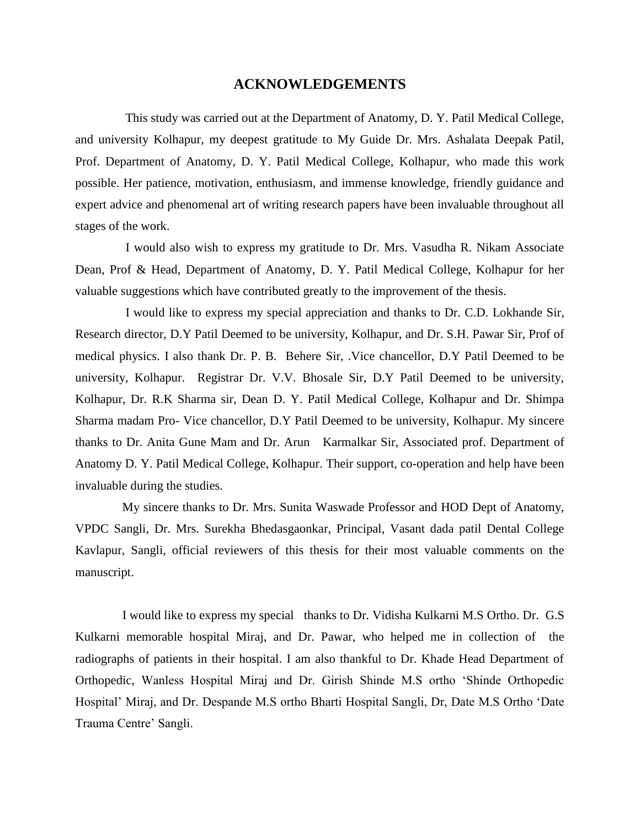#### **ACKNOWLEDGEMENTS**

 This study was carried out at the Department of Anatomy, D. Y. Patil Medical College, and university Kolhapur, my deepest gratitude to My Guide Dr. Mrs. Ashalata Deepak Patil, Prof. Department of Anatomy, D. Y. Patil Medical College, Kolhapur, who made this work possible. Her patience, motivation, enthusiasm, and immense knowledge, friendly guidance and expert advice and phenomenal art of writing research papers have been invaluable throughout all stages of the work.

 I would also wish to express my gratitude to Dr. Mrs. Vasudha R. Nikam Associate Dean, Prof & Head, Department of Anatomy, D. Y. Patil Medical College, Kolhapur for her valuable suggestions which have contributed greatly to the improvement of the thesis.

 I would like to express my special appreciation and thanks to Dr. C.D. Lokhande Sir, Research director, D.Y Patil Deemed to be university, Kolhapur, and Dr. S.H. Pawar Sir, Prof of medical physics. I also thank Dr. P. B. Behere Sir, .Vice chancellor, D.Y Patil Deemed to be university, Kolhapur. Registrar Dr. V.V. Bhosale Sir, D.Y Patil Deemed to be university, Kolhapur, Dr. R.K Sharma sir, Dean D. Y. Patil Medical College, Kolhapur and Dr. Shimpa Sharma madam Pro- Vice chancellor, D.Y Patil Deemed to be university, Kolhapur. My sincere thanks to Dr. Anita Gune Mam and Dr. Arun Karmalkar Sir, Associated prof. Department of Anatomy D. Y. Patil Medical College, Kolhapur. Their support, co-operation and help have been invaluable during the studies.

 My sincere thanks to Dr. Mrs. Sunita Waswade Professor and HOD Dept of Anatomy, VPDC Sangli, Dr. Mrs. Surekha Bhedasgaonkar, Principal, Vasant dada patil Dental College Kavlapur, Sangli, official reviewers of this thesis for their most valuable comments on the manuscript.

 I would like to express my special thanks to Dr. Vidisha Kulkarni M.S Ortho. Dr. G.S Kulkarni memorable hospital Miraj, and Dr. Pawar, who helped me in collection of the radiographs of patients in their hospital. I am also thankful to Dr. Khade Head Department of Orthopedic, Wanless Hospital Miraj and Dr. Girish Shinde M.S ortho 'Shinde Orthopedic Hospital' Miraj, and Dr. Despande M.S ortho Bharti Hospital Sangli, Dr, Date M.S Ortho 'Date Trauma Centre' Sangli.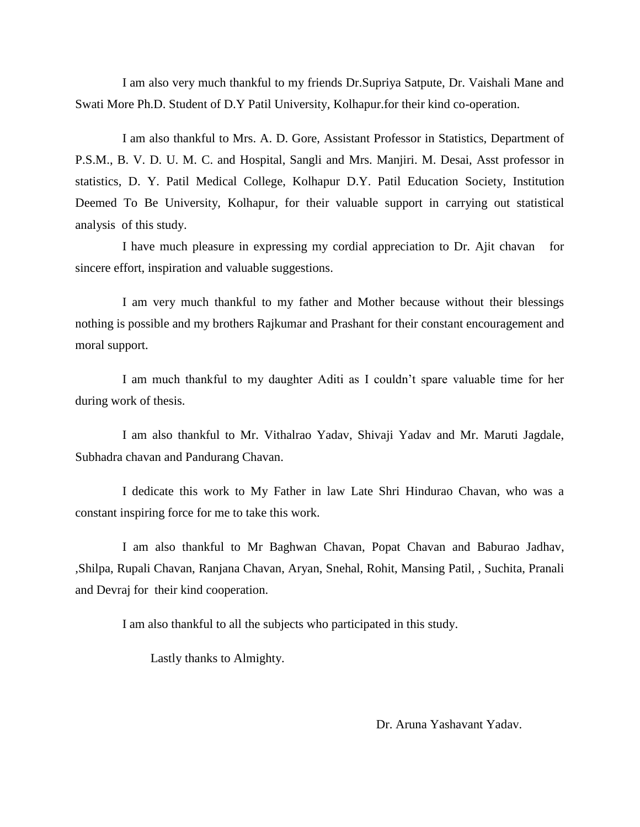I am also very much thankful to my friends Dr.Supriya Satpute, Dr. Vaishali Mane and Swati More Ph.D. Student of D.Y Patil University, Kolhapur.for their kind co-operation.

 I am also thankful to Mrs. A. D. Gore, Assistant Professor in Statistics, Department of P.S.M., B. V. D. U. M. C. and Hospital, Sangli and Mrs. Manjiri. M. Desai, Asst professor in statistics, D. Y. Patil Medical College, Kolhapur D.Y. Patil Education Society, Institution Deemed To Be University, Kolhapur, for their valuable support in carrying out statistical analysis of this study.

 I have much pleasure in expressing my cordial appreciation to Dr. Ajit chavan for sincere effort, inspiration and valuable suggestions.

 I am very much thankful to my father and Mother because without their blessings nothing is possible and my brothers Rajkumar and Prashant for their constant encouragement and moral support.

 I am much thankful to my daughter Aditi as I couldn't spare valuable time for her during work of thesis.

 I am also thankful to Mr. Vithalrao Yadav, Shivaji Yadav and Mr. Maruti Jagdale, Subhadra chavan and Pandurang Chavan.

 I dedicate this work to My Father in law Late Shri Hindurao Chavan, who was a constant inspiring force for me to take this work.

 I am also thankful to Mr Baghwan Chavan, Popat Chavan and Baburao Jadhav, ,Shilpa, Rupali Chavan, Ranjana Chavan, Aryan, Snehal, Rohit, Mansing Patil, , Suchita, Pranali and Devraj for their kind cooperation.

I am also thankful to all the subjects who participated in this study.

Lastly thanks to Almighty.

Dr. Aruna Yashavant Yadav.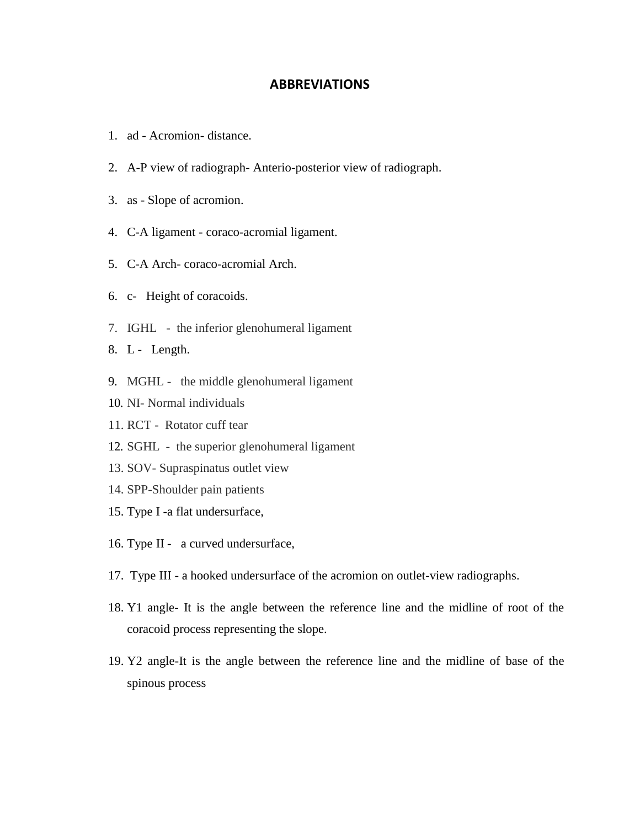#### **ABBREVIATIONS**

- 1. ad Acromion- distance.
- 2. A-P view of radiograph- Anterio-posterior view of radiograph.
- 3. as Slope of acromion.
- 4. C-A ligament coraco-acromial ligament.
- 5. C-A Arch- coraco-acromial Arch.
- 6. c- Height of coracoids.
- 7. IGHL the inferior glenohumeral ligament
- 8. L Length.
- 9. MGHL the middle glenohumeral ligament
- 10. NI- Normal individuals
- 11. RCT Rotator cuff tear
- 12. SGHL the superior glenohumeral ligament
- 13. SOV- Supraspinatus outlet view
- 14. SPP-Shoulder pain patients
- 15. Type I -a flat undersurface,
- 16. Type II a curved undersurface,
- 17. Type III a hooked undersurface of the acromion on outlet-view radiographs.
- 18. Y1 angle- It is the angle between the reference line and the midline of root of the coracoid process representing the slope.
- 19. Y2 angle-It is the angle between the reference line and the midline of base of the spinous process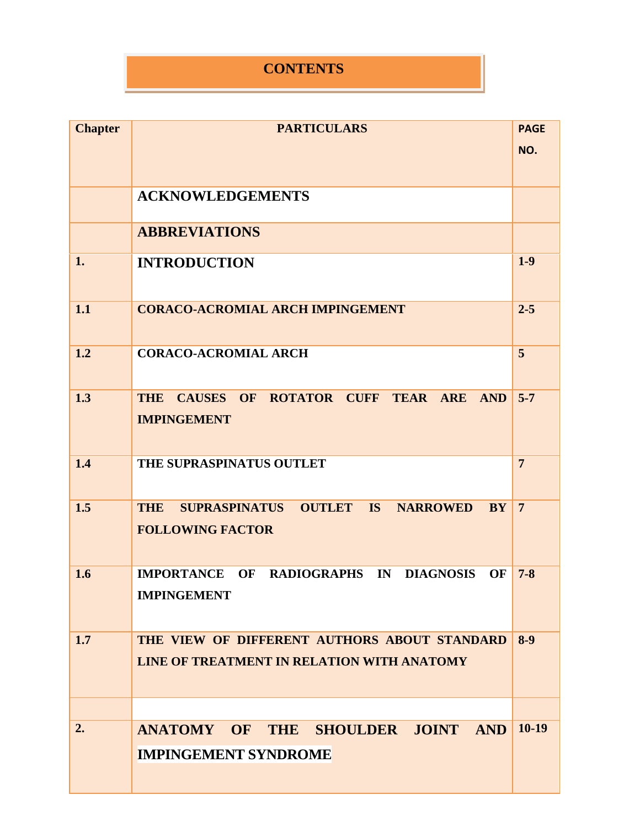## **CONTENTS**

| <b>Chapter</b> | <b>PARTICULARS</b>                                                                                                     | <b>PAGE</b>    |
|----------------|------------------------------------------------------------------------------------------------------------------------|----------------|
|                |                                                                                                                        | NO.            |
|                |                                                                                                                        |                |
|                |                                                                                                                        |                |
|                | <b>ACKNOWLEDGEMENTS</b>                                                                                                |                |
|                | <b>ABBREVIATIONS</b>                                                                                                   |                |
| 1.             | <b>INTRODUCTION</b>                                                                                                    | $1-9$          |
| 1.1            | <b>CORACO-ACROMIAL ARCH IMPINGEMENT</b>                                                                                | $2 - 5$        |
| 1.2            | <b>CORACO-ACROMIAL ARCH</b>                                                                                            | 5              |
| 1.3            | <b>ROTATOR CUFF TEAR</b><br><b>THE</b><br><b>CAUSES</b><br><b>OF</b><br><b>ARE</b><br><b>AND</b><br><b>IMPINGEMENT</b> | $5 - 7$        |
| 1.4            | THE SUPRASPINATUS OUTLET                                                                                               | $\overline{7}$ |
| 1.5            | <b>SUPRASPINATUS</b><br><b>OUTLET</b><br>IS<br><b>NARROWED</b><br><b>THE</b><br><b>BY</b><br><b>FOLLOWING FACTOR</b>   | $\overline{7}$ |
| 1.6            | <b>IMPORTANCE</b><br>OF<br>RADIOGRAPHS IN DIAGNOSIS<br>OF<br><b>IMPINGEMENT</b>                                        | $7 - 8$        |
| 1.7            | THE VIEW OF DIFFERENT AUTHORS ABOUT STANDARD<br>LINE OF TREATMENT IN RELATION WITH ANATOMY                             | $8-9$          |
|                |                                                                                                                        |                |
| 2.             | ANATOMY OF THE SHOULDER JOINT<br><b>AND</b>                                                                            | $10-19$        |
|                | <b>IMPINGEMENT SYNDROME</b>                                                                                            |                |
|                |                                                                                                                        |                |
|                |                                                                                                                        |                |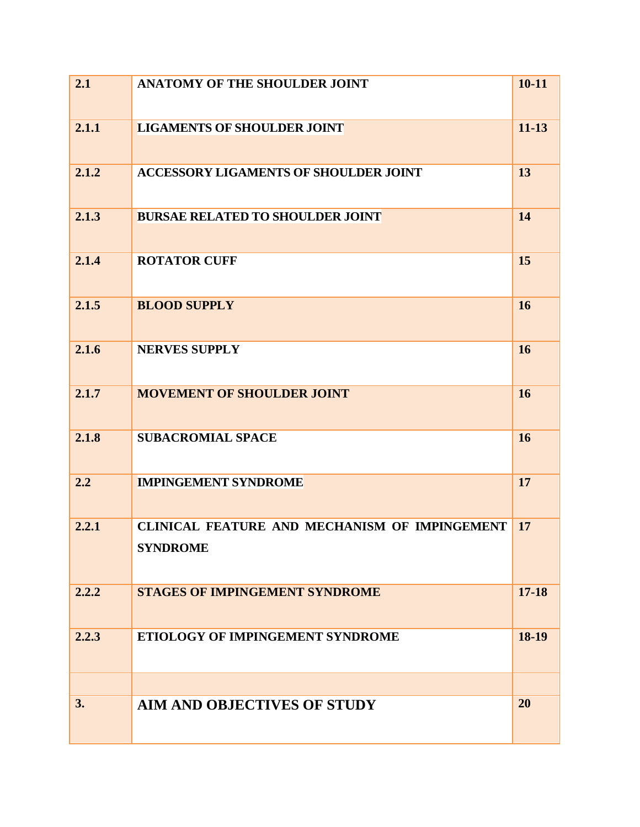| 2.1   | <b>ANATOMY OF THE SHOULDER JOINT</b>                             | $10 - 11$ |
|-------|------------------------------------------------------------------|-----------|
| 2.1.1 | <b>LIGAMENTS OF SHOULDER JOINT</b>                               | $11 - 13$ |
| 2.1.2 | <b>ACCESSORY LIGAMENTS OF SHOULDER JOINT</b>                     | 13        |
| 2.1.3 | <b>BURSAE RELATED TO SHOULDER JOINT</b>                          | 14        |
| 2.1.4 | <b>ROTATOR CUFF</b>                                              | 15        |
| 2.1.5 | <b>BLOOD SUPPLY</b>                                              | 16        |
| 2.1.6 | <b>NERVES SUPPLY</b>                                             | 16        |
| 2.1.7 | <b>MOVEMENT OF SHOULDER JOINT</b>                                | 16        |
| 2.1.8 | <b>SUBACROMIAL SPACE</b>                                         | 16        |
| 2.2   | <b>IMPINGEMENT SYNDROME</b>                                      | 17        |
| 2.2.1 | CLINICAL FEATURE AND MECHANISM OF IMPINGEMENT<br><b>SYNDROME</b> | 17        |
| 2.2.2 | <b>STAGES OF IMPINGEMENT SYNDROME</b>                            | $17 - 18$ |
| 2.2.3 | ETIOLOGY OF IMPINGEMENT SYNDROME                                 | 18-19     |
|       |                                                                  |           |
| 3.    | <b>AIM AND OBJECTIVES OF STUDY</b>                               | 20        |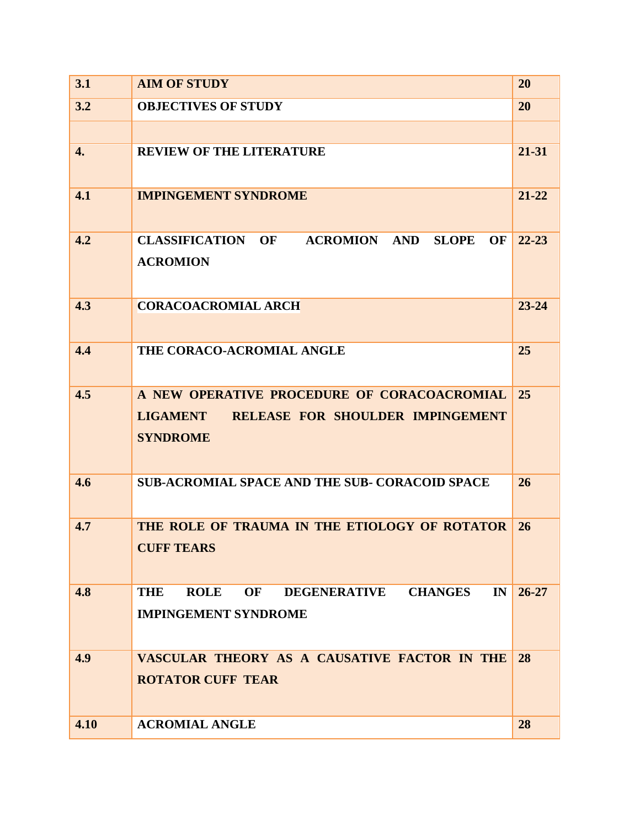| 3.1  | <b>AIM OF STUDY</b>                                                                                                   | 20        |
|------|-----------------------------------------------------------------------------------------------------------------------|-----------|
| 3.2  | <b>OBJECTIVES OF STUDY</b>                                                                                            | 20        |
|      |                                                                                                                       |           |
| 4.   | <b>REVIEW OF THE LITERATURE</b>                                                                                       | 21-31     |
| 4.1  | <b>IMPINGEMENT SYNDROME</b>                                                                                           | $21 - 22$ |
| 4.2  | <b>CLASSIFICATION</b><br><b>ACROMION</b><br><b>SLOPE</b><br>OF<br><b>AND</b><br>OF<br><b>ACROMION</b>                 | $22 - 23$ |
| 4.3  | <b>CORACOACROMIAL ARCH</b>                                                                                            | $23 - 24$ |
| 4.4  | THE CORACO-ACROMIAL ANGLE                                                                                             | 25        |
| 4.5  | A NEW OPERATIVE PROCEDURE OF CORACOACROMIAL<br><b>LIGAMENT</b><br>RELEASE FOR SHOULDER IMPINGEMENT<br><b>SYNDROME</b> | 25        |
| 4.6  | <b>SUB-ACROMIAL SPACE AND THE SUB- CORACOID SPACE</b>                                                                 | 26        |
| 4.7  | THE ROLE OF TRAUMA IN THE ETIOLOGY OF ROTATOR<br><b>CUFF TEARS</b>                                                    | 26        |
| 4.8  | <b>ROLE</b><br><b>DEGENERATIVE</b><br><b>CHANGES</b><br>THE<br>OF<br>IN<br><b>IMPINGEMENT SYNDROME</b>                | $26 - 27$ |
| 4.9  | VASCULAR THEORY AS A CAUSATIVE FACTOR IN THE<br><b>ROTATOR CUFF TEAR</b>                                              | 28        |
| 4.10 | <b>ACROMIAL ANGLE</b>                                                                                                 | 28        |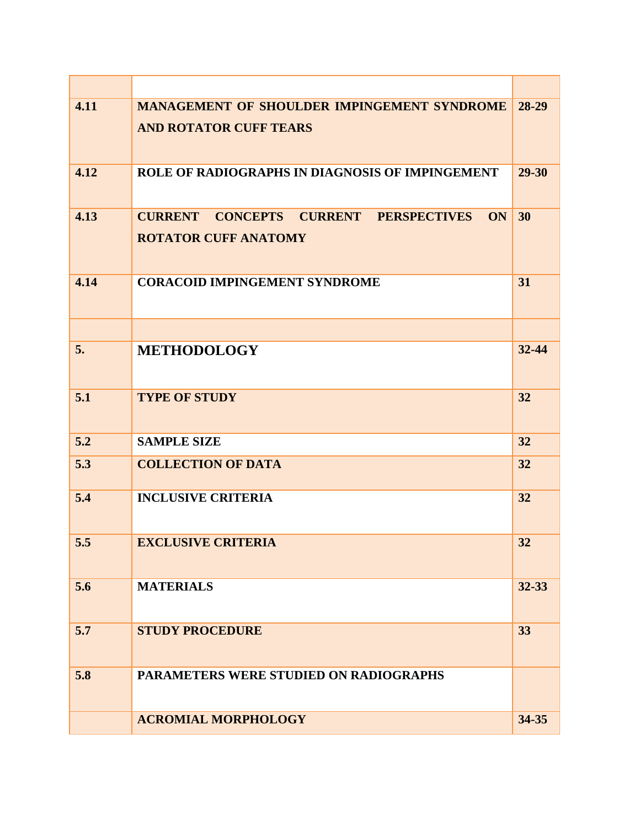| 4.11 | <b>MANAGEMENT OF SHOULDER IMPINGEMENT SYNDROME</b>                                       | 28-29 |
|------|------------------------------------------------------------------------------------------|-------|
|      | <b>AND ROTATOR CUFF TEARS</b>                                                            |       |
| 4.12 | ROLE OF RADIOGRAPHS IN DIAGNOSIS OF IMPINGEMENT                                          | 29-30 |
| 4.13 | <b>CURRENT CONCEPTS CURRENT PERSPECTIVES</b><br><b>ON</b><br><b>ROTATOR CUFF ANATOMY</b> | 30    |
| 4.14 | <b>CORACOID IMPINGEMENT SYNDROME</b>                                                     | 31    |
|      |                                                                                          |       |
| 5.   | <b>METHODOLOGY</b>                                                                       | 32-44 |
| 5.1  | <b>TYPE OF STUDY</b>                                                                     | 32    |
| 5.2  | <b>SAMPLE SIZE</b>                                                                       | 32    |
| 5.3  | <b>COLLECTION OF DATA</b>                                                                | 32    |
| 5.4  | <b>INCLUSIVE CRITERIA</b>                                                                | 32    |
| 5.5  | <b>EXCLUSIVE CRITERIA</b>                                                                | 32    |
| 5.6  | <b>MATERIALS</b>                                                                         | 32-33 |
| 5.7  | <b>STUDY PROCEDURE</b>                                                                   | 33    |
| 5.8  | PARAMETERS WERE STUDIED ON RADIOGRAPHS                                                   |       |
|      | <b>ACROMIAL MORPHOLOGY</b>                                                               | 34-35 |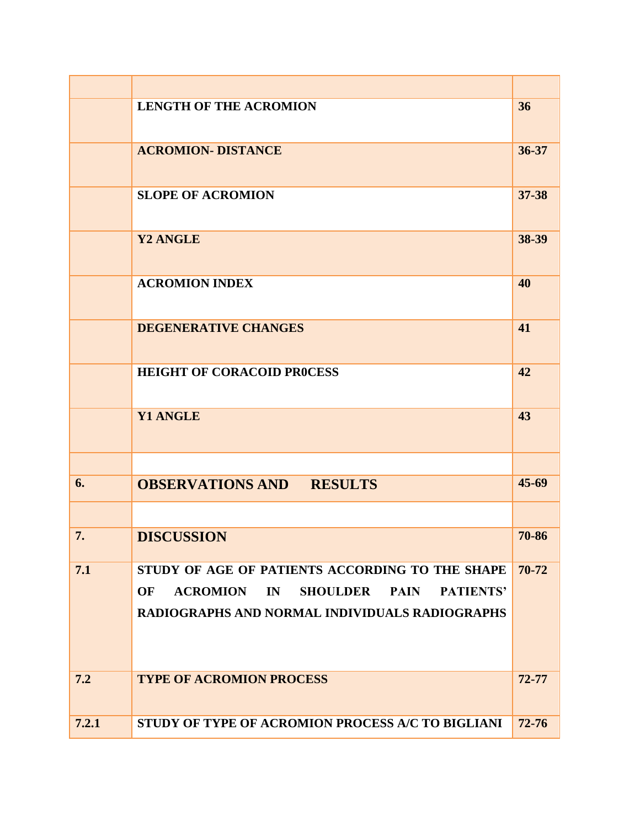|       | <b>LENGTH OF THE ACROMION</b>                                                     | 36        |
|-------|-----------------------------------------------------------------------------------|-----------|
|       | <b>ACROMION- DISTANCE</b>                                                         | 36-37     |
|       | <b>SLOPE OF ACROMION</b>                                                          | 37-38     |
|       | Y2 ANGLE                                                                          | 38-39     |
|       | <b>ACROMION INDEX</b>                                                             | 40        |
|       | <b>DEGENERATIVE CHANGES</b>                                                       | 41        |
|       | <b>HEIGHT OF CORACOID PROCESS</b>                                                 | 42        |
|       | <b>Y1 ANGLE</b>                                                                   | 43        |
|       |                                                                                   |           |
| 6.    | <b>OBSERVATIONS AND RESULTS</b>                                                   | $45 - 69$ |
|       |                                                                                   |           |
| 7.    | <b>DISCUSSION</b>                                                                 | 70-86     |
| 7.1   | STUDY OF AGE OF PATIENTS ACCORDING TO THE SHAPE                                   | 70-72     |
|       | <b>ACROMION</b><br>IN<br><b>SHOULDER</b><br><b>PAIN</b><br><b>PATIENTS'</b><br>OF |           |
|       | RADIOGRAPHS AND NORMAL INDIVIDUALS RADIOGRAPHS                                    |           |
| 7.2   | <b>TYPE OF ACROMION PROCESS</b>                                                   | $72 - 77$ |
| 7.2.1 | STUDY OF TYPE OF ACROMION PROCESS A/C TO BIGLIANI                                 | $72 - 76$ |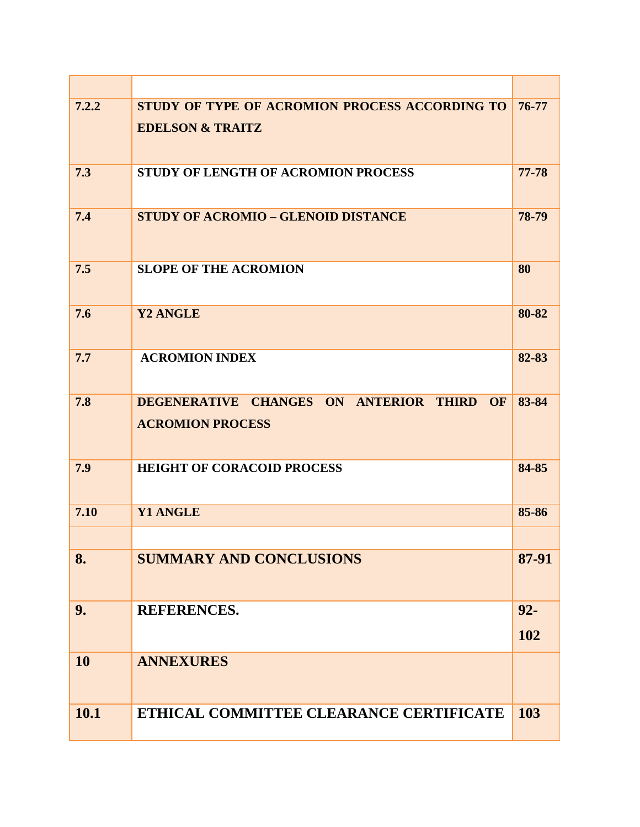| 7.2.2     | STUDY OF TYPE OF ACROMION PROCESS ACCORDING TO<br><b>EDELSON &amp; TRAITZ</b> | 76-77         |
|-----------|-------------------------------------------------------------------------------|---------------|
| 7.3       | STUDY OF LENGTH OF ACROMION PROCESS                                           | 77-78         |
| 7.4       | <b>STUDY OF ACROMIO - GLENOID DISTANCE</b>                                    | 78-79         |
| 7.5       | <b>SLOPE OF THE ACROMION</b>                                                  | 80            |
| 7.6       | Y2 ANGLE                                                                      | 80-82         |
| 7.7       | <b>ACROMION INDEX</b>                                                         | 82-83         |
| 7.8       | DEGENERATIVE CHANGES ON ANTERIOR THIRD OF<br><b>ACROMION PROCESS</b>          | 83-84         |
| 7.9       | <b>HEIGHT OF CORACOID PROCESS</b>                                             | 84-85         |
| 7.10      | <b>Y1 ANGLE</b>                                                               | 85-86         |
| 8.        | <b>SUMMARY AND CONCLUSIONS</b>                                                | 87-91         |
| 9.        | <b>REFERENCES.</b>                                                            | $92 -$<br>102 |
| <b>10</b> | <b>ANNEXURES</b>                                                              |               |
| 10.1      | ETHICAL COMMITTEE CLEARANCE CERTIFICATE                                       | 103           |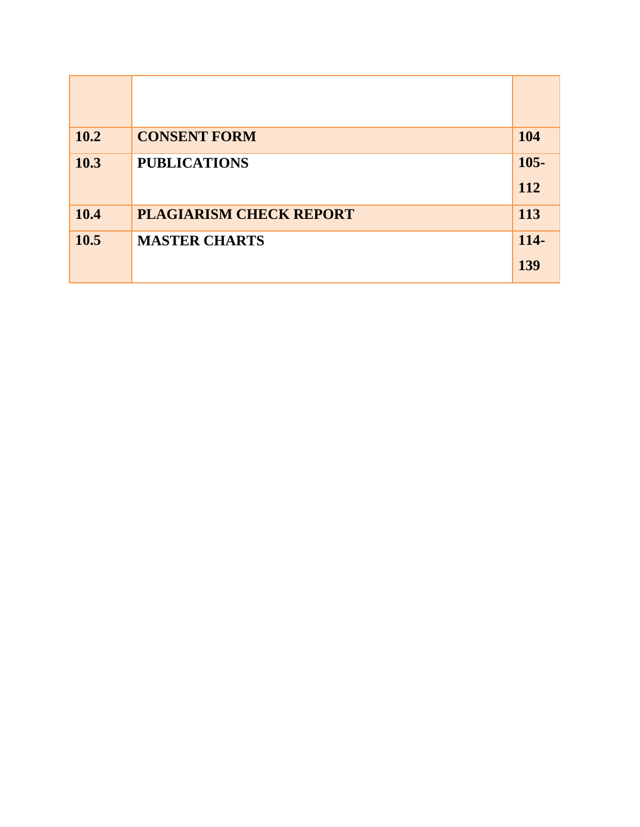| 10.2 | <b>CONSENT FORM</b>            | 104            |
|------|--------------------------------|----------------|
| 10.3 | <b>PUBLICATIONS</b>            | $105 -$<br>112 |
| 10.4 | <b>PLAGIARISM CHECK REPORT</b> | 113            |
| 10.5 | <b>MASTER CHARTS</b>           | 114-           |
|      |                                | 139            |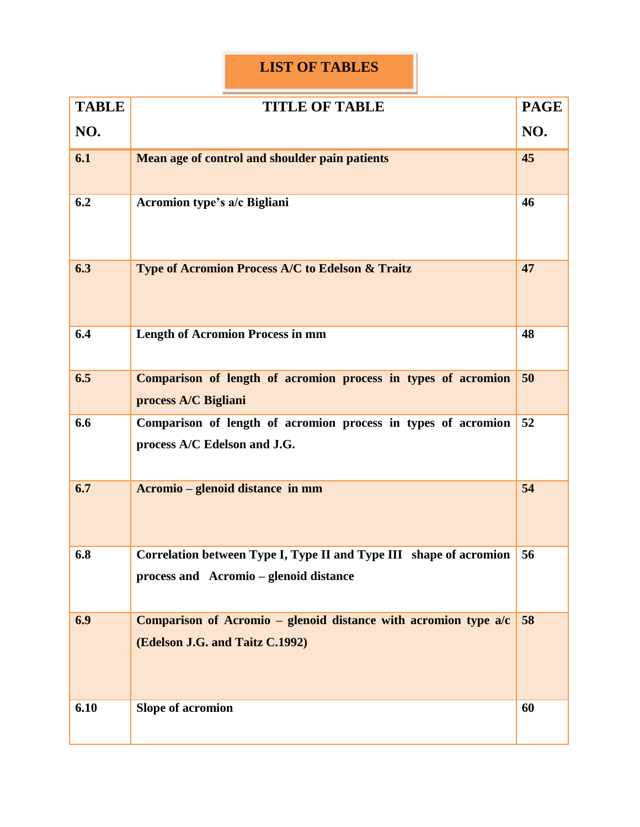## **LIST OF TABLES**

| <b>TABLE</b> | <b>TITLE OF TABLE</b>                                                                                        | <b>PAGE</b> |
|--------------|--------------------------------------------------------------------------------------------------------------|-------------|
| NO.          |                                                                                                              | NO.         |
| 6.1          | Mean age of control and shoulder pain patients                                                               | 45          |
| 6.2          | Acromion type's a/c Bigliani                                                                                 | 46          |
| 6.3          | Type of Acromion Process A/C to Edelson & Traitz                                                             | 47          |
| 6.4          | <b>Length of Acromion Process in mm</b>                                                                      | 48          |
| 6.5          | Comparison of length of acromion process in types of acromion<br>process A/C Bigliani                        | 50          |
| 6.6          | Comparison of length of acromion process in types of acromion<br>process A/C Edelson and J.G.                | 52          |
| 6.7          | Acromio – glenoid distance in mm                                                                             | 54          |
| 6.8          | Correlation between Type I, Type II and Type III shape of acromion<br>process and Acromio – glenoid distance | 56          |
| 6.9          | Comparison of Acromio – glenoid distance with acromion type $a/c$<br>(Edelson J.G. and Taitz C.1992)         | 58          |
| 6.10         | <b>Slope of acromion</b>                                                                                     | 60          |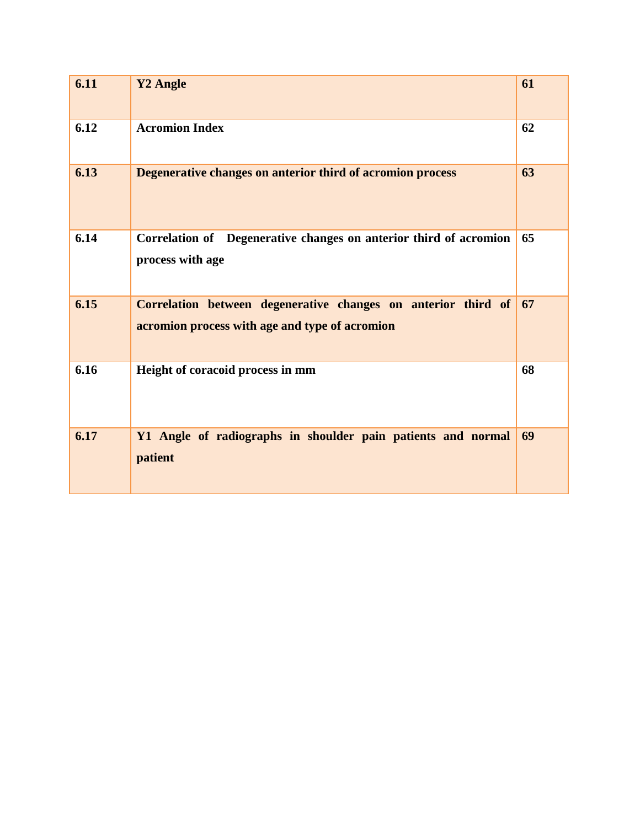| 6.11 | Y2 Angle                                                                                                        | 61 |
|------|-----------------------------------------------------------------------------------------------------------------|----|
| 6.12 | <b>Acromion Index</b>                                                                                           | 62 |
| 6.13 | Degenerative changes on anterior third of acromion process                                                      | 63 |
| 6.14 | Correlation of Degenerative changes on anterior third of acromion<br>process with age                           | 65 |
| 6.15 | Correlation between degenerative changes on anterior third of<br>acromion process with age and type of acromion | 67 |
| 6.16 | Height of coracoid process in mm                                                                                | 68 |
| 6.17 | Y1 Angle of radiographs in shoulder pain patients and normal<br>patient                                         | 69 |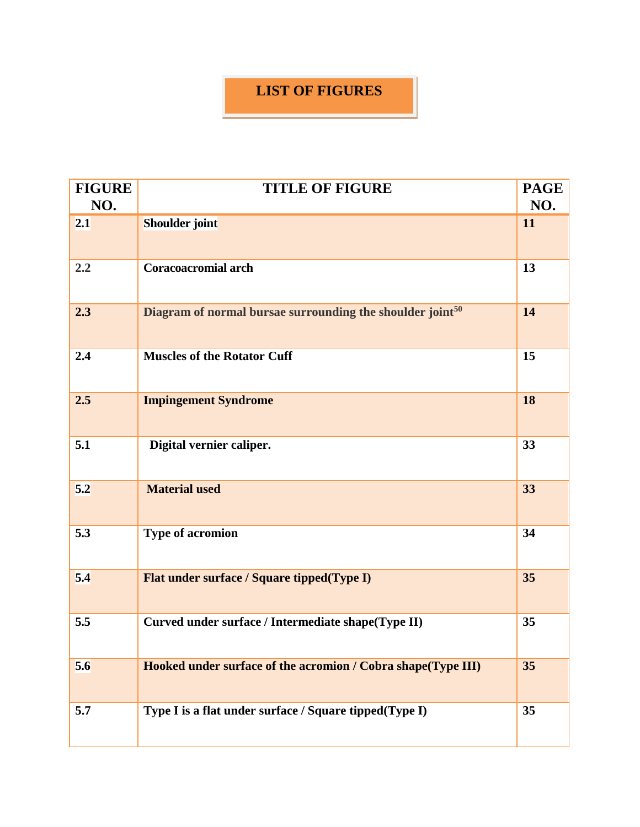## **LIST OF FIGURES**

| <b>FIGURE</b><br>NO. | <b>TITLE OF FIGURE</b>                                       | <b>PAGE</b><br>NO. |
|----------------------|--------------------------------------------------------------|--------------------|
| 2.1                  | Shoulder joint                                               | 11                 |
| 2.2                  | Coracoacromial arch                                          | 13                 |
| 2.3                  | Diagram of normal bursae surrounding the shoulder joint $50$ | 14                 |
| 2.4                  | <b>Muscles of the Rotator Cuff</b>                           | 15                 |
| 2.5                  | <b>Impingement Syndrome</b>                                  | 18                 |
| 5.1                  | Digital vernier caliper.                                     | 33                 |
| 5.2                  | <b>Material used</b>                                         | 33                 |
| 5.3                  | <b>Type of acromion</b>                                      | 34                 |
| 5.4                  | Flat under surface / Square tipped(Type I)                   | 35                 |
| 5.5                  | Curved under surface / Intermediate shape(Type II)           | 35                 |
| 5.6                  | Hooked under surface of the acromion / Cobra shape(Type III) | 35                 |
| 5.7                  | Type I is a flat under surface / Square tipped(Type I)       | 35                 |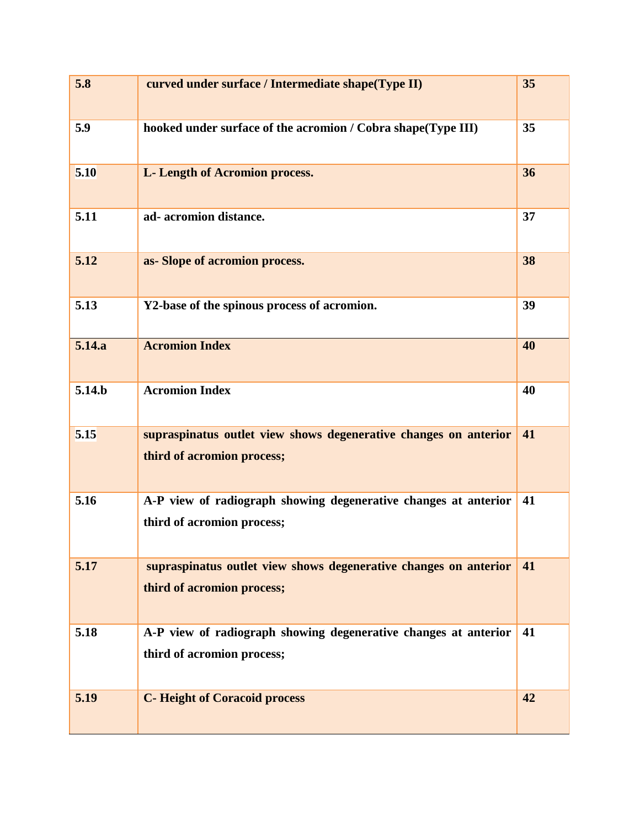| 5.8                | curved under surface / Intermediate shape(Type II)                                             | 35 |
|--------------------|------------------------------------------------------------------------------------------------|----|
| 5.9                | hooked under surface of the acromion / Cobra shape(Type III)                                   | 35 |
| 5.10               | L- Length of Acromion process.                                                                 | 36 |
| 5.11               | ad-acromion distance.                                                                          | 37 |
| 5.12               | as-Slope of acromion process.                                                                  | 38 |
| 5.13               | Y2-base of the spinous process of acromion.                                                    | 39 |
| 5.14.a             | <b>Acromion Index</b>                                                                          | 40 |
| 5.14 <sub>.b</sub> | <b>Acromion Index</b>                                                                          | 40 |
| 5.15               | supraspinatus outlet view shows degenerative changes on anterior<br>third of acromion process; | 41 |
| 5.16               | A-P view of radiograph showing degenerative changes at anterior<br>third of acromion process;  | 41 |
| 5.17               | supraspinatus outlet view shows degenerative changes on anterior<br>third of acromion process; | 41 |
| 5.18               | A-P view of radiograph showing degenerative changes at anterior<br>third of acromion process;  | 41 |
| 5.19               | <b>C-Height of Coracoid process</b>                                                            | 42 |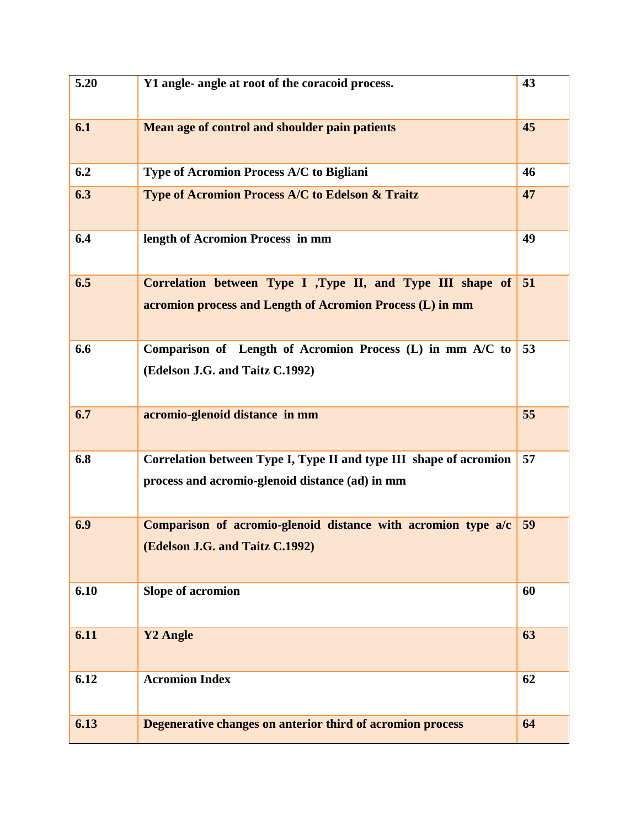| 5.20 | Y1 angle- angle at root of the coracoid process.                                                                        | 43 |
|------|-------------------------------------------------------------------------------------------------------------------------|----|
| 6.1  | Mean age of control and shoulder pain patients                                                                          | 45 |
| 6.2  | Type of Acromion Process A/C to Bigliani                                                                                | 46 |
| 6.3  | <b>Type of Acromion Process A/C to Edelson &amp; Traitz</b>                                                             | 47 |
| 6.4  | length of Acromion Process in mm                                                                                        | 49 |
| 6.5  | Correlation between Type I ,Type II, and Type III shape of<br>acromion process and Length of Acromion Process (L) in mm | 51 |
| 6.6  | Comparison of Length of Acromion Process (L) in mm A/C to<br>(Edelson J.G. and Taitz C.1992)                            | 53 |
| 6.7  | acromio-glenoid distance in mm                                                                                          | 55 |
| 6.8  | Correlation between Type I, Type II and type III shape of acromion<br>process and acromio-glenoid distance (ad) in mm   | 57 |
| 6.9  | Comparison of acromio-glenoid distance with acromion type a/c<br>(Edelson J.G. and Taitz C.1992)                        | 59 |
| 6.10 | <b>Slope of acromion</b>                                                                                                | 60 |
| 6.11 | <b>Y2 Angle</b>                                                                                                         | 63 |
| 6.12 | <b>Acromion Index</b>                                                                                                   | 62 |
| 6.13 | Degenerative changes on anterior third of acromion process                                                              | 64 |